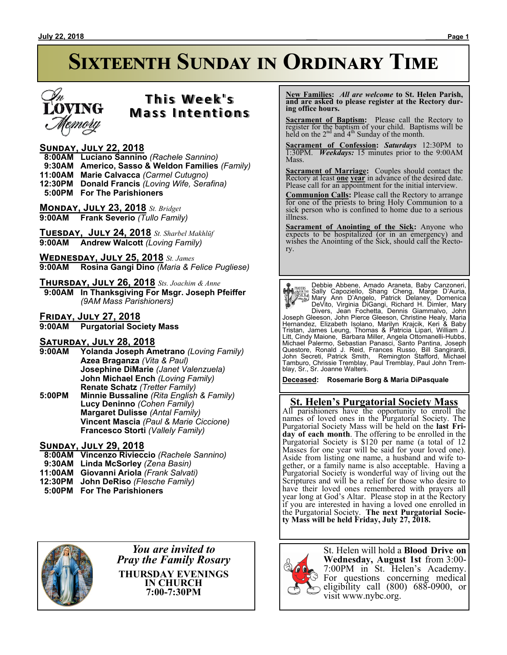

# **T h i s We e k ' s Mass Intentions**

## **Sunday, July 22, 2018**

 **8:00AM Luciano Sannino** *(Rachele Sannino)*

 **9:30AM Americo, Sasso & Weldon Families** *(Family)*

**11:00AM Marie Calvacca** *(Carmel Cutugno)*

**12:30PM Donald Francis** *(Loving Wife, Serafina)*

 **5:00PM For The Parishioners**

**Monday, July 23, 2018** *St. Bridget* **9:00AM Frank Severio** *(Tullo Family)*

**Tuesday, July 24, 2018** *St. Sharbel Makhlūf* **9:00AM Andrew Walcott** *(Loving Family)*

**Wednesday, July 25, 2018** *St. James* **9:00AM Rosina Gangi Dino** *(Maria & Felice Pugliese)*

## **Thursday, July 26, 2018** *Sts. Joachim & Anne*

 **9:00AM In Thanksgiving For Msgr. Joseph Pfeiffer** *(9AM Mass Parishioners)*

**Friday, July 27, 2018**

**9:00AM Purgatorial Society Mass**

# **SATURDAY, JULY 28, 2018**<br>9:00AM Yolanda Joseph Ar

- **9:00AM Yolanda Joseph Ametrano** *(Loving Family)* **Azea Braganza** *(Vita & Paul)* **Josephine DiMarie** *(Janet Valenzuela)* **John Michael Ench** *(Loving Family)* **Renate Schatz** *(Tretter Family)* **5:00PM Minnie Bussaline** *(Rita English & Family)*
- **Lucy Deninno** *(Cohen Family)* **Margaret Dulisse** *(Antal Family)* **Vincent Mascia** *(Paul & Marie Ciccione)* **Francesco Storti** *(Vallely Family)*

## **Sunday, July 29, 2018**

- **8:00AM Vincenzo Rivieccio** *(Rachele Sannino)*
- **9:30AM Linda McSorley** *(Zena Basin)*
- **11:00AM Giovanni Ariola** *(Frank Salvati)*
- **12:30PM John DeRiso** *(Flesche Family)*
- **5:00PM For The Parishioners**



*You are invited to Pray the Family Rosary* **THURSDAY EVENINGS IN CHURCH 7:00-7:30PM**

 **New Families:** *All are welcome* **to St. Helen Parish, and are asked to please register at the Rectory during office hours.**

**Sacrament of Baptism:** Please call the Rectory to register for the baptism of your child. Baptisms will be held on the  $2<sup>nd</sup>$  and  $4<sup>th</sup>$  Sunday of the month.

**Sacrament of Confession:** *Saturdays* 12:30PM to 1:30PM. *Weekdays:* 15 minutes prior to the 9:00AM Mass.

**Sacrament of Marriage:**Couples should contact the Rectory at least **one year** in advance of the desired date. Please call for an appointment for the initial interview.

**Communion Calls:** Please call the Rectory to arrange for one of the priests to bring Holy Communion to a sick person who is confined to home due to a serious illness.

**Sacrament of Anointing of the Sick:** Anyone who expects to be hospitalized (or in an emergency) and wishes the Anointing of the Sick, should call the Rectory.

**Payris:** Debbie Abbene, Amado Araneta, Baby Canzoneri,<br>
Sally Capoziello, Shang Cheng, Marge D'Auria,<br>
Mary Ann D'Angelo, Patrick Delaney, Domenica<br>
DeVito, Virginia DiGangi, Richard H. Dimler, Mary<br>
Divers, Jean Fochetta

**Deceased: Rosemarie Borg & Maria DiPasquale**

# **St. Helen's Purgatorial Society Mass**

All parishioners have the opportunity to enroll the names of loved ones in the Purgatorial Society. The Purgatorial Society Mass will be held on the **last Friday of each month**. The offering to be enrolled in the Purgatorial Society is \$120 per name (a total of 12 Masses for one year will be said for your loved one). Aside from listing one name, a husband and wife together, or a family name is also acceptable. Having a Purgatorial Society is wonderful way of living out the Scriptures and will be a relief for those who desire to have their loved ones remembered with prayers all year long at God's Altar. Please stop in at the Rectory if you are interested in having a loved one enrolled in the Purgatorial Society. **The next Purgatorial Society Mass will be held Friday, July 27, 2018.**



St. Helen will hold a **Blood Drive on Wednesday, August 1st** from 3:00- 7:00PM in St. Helen's Academy. For questions concerning medical eligibility call (800) 688-0900, or visit www.nybc.org.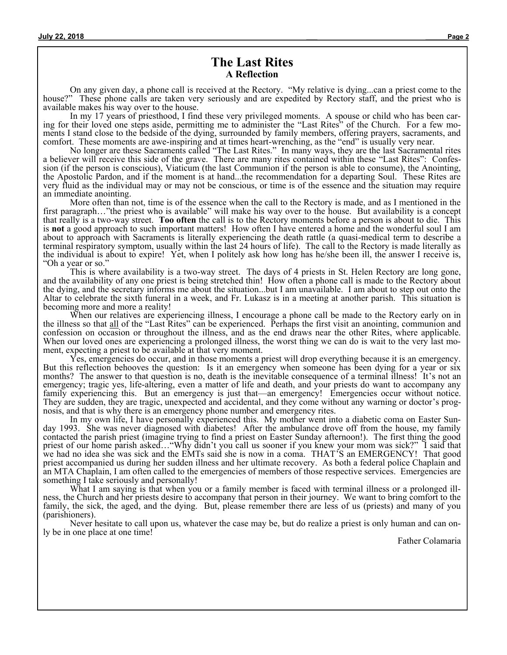# **The Last Rites A Reflection**

On any given day, a phone call is received at the Rectory. "My relative is dying...can a priest come to the house?" These phone calls are taken very seriously and are expedited by Rectory staff, and the priest who is available makes his way over to the house.

In my 17 years of priesthood, I find these very privileged moments. A spouse or child who has been caring for their loved one steps aside, permitting me to administer the "Last Rites" of the Church. For a few moments I stand close to the bedside of the dying, surrounded by family members, offering prayers, sacraments, and comfort. These moments are awe-inspiring and at times heart-wrenching, as the "end" is usually very near.

No longer are these Sacraments called "The Last Rites." In many ways, they are the last Sacramental rites a believer will receive this side of the grave. There are many rites contained within these "Last Rites": Confession (if the person is conscious), Viaticum (the last Communion if the person is able to consume), the Anointing, the Apostolic Pardon, and if the moment is at hand...the recommendation for a departing Soul. These Rites are very fluid as the individual may or may not be conscious, or time is of the essence and the situation may require an immediate anointing.

More often than not, time is of the essence when the call to the Rectory is made, and as I mentioned in the first paragraph…"the priest who is available" will make his way over to the house. But availability is a concept that really is a two-way street. **Too often** the call is to the Rectory moments before a person is about to die. This is **not** a good approach to such important matters! How often I have entered a home and the wonderful soul I am about to approach with Sacraments is literally experiencing the death rattle (a quasi-medical term to describe a terminal respiratory symptom, usually within the last 24 hours of life). The call to the Rectory is made literally as the individual is about to expire! Yet, when I politely ask how long has he/she been ill, the answer I receive is, "Oh a year or so."

This is where availability is a two-way street. The days of 4 priests in St. Helen Rectory are long gone, and the availability of any one priest is being stretched thin! How often a phone call is made to the Rectory about the dying, and the secretary informs me about the situation...but I am unavailable. I am about to step out onto the Altar to celebrate the sixth funeral in a week, and Fr. Lukasz is in a meeting at another parish. This situation is becoming more and more a reality!

When our relatives are experiencing illness, I encourage a phone call be made to the Rectory early on in the illness so that all of the "Last Rites" can be experienced. Perhaps the first visit an anointing, communion and confession on occasion or throughout the illness, and as the end draws near the other Rites, where applicable. When our loved ones are experiencing a prolonged illness, the worst thing we can do is wait to the very last moment, expecting a priest to be available at that very moment.

Yes, emergencies do occur, and in those moments a priest will drop everything because it is an emergency. But this reflection behooves the question: Is it an emergency when someone has been dying for a year or six months? The answer to that question is no, death is the inevitable consequence of a terminal illness! It's not an emergency; tragic yes, life-altering, even a matter of life and death, and your priests do want to accompany any family experiencing this. But an emergency is just that—an emergency! Emergencies occur without notice. They are sudden, they are tragic, unexpected and accidental, and they come without any warning or doctor's prognosis, and that is why there is an emergency phone number and emergency rites.

In my own life, I have personally experienced this. My mother went into a diabetic coma on Easter Sunday 1993. She was never diagnosed with diabetes! After the ambulance drove off from the house, my family contacted the parish priest (imagine trying to find a priest on Easter Sunday afternoon!). The first thing the good priest of our home parish asked…"Why didn't you call us sooner if you knew your mom was sick?" I said that we had no idea she was sick and the EMTs said she is now in a coma. THAT'S an EMERGENCY! That good priest accompanied us during her sudden illness and her ultimate recovery. As both a federal police Chaplain and an MTA Chaplain, I am often called to the emergencies of members of those respective services. Emergencies are something I take seriously and personally!

What I am saying is that when you or a family member is faced with terminal illness or a prolonged illness, the Church and her priests desire to accompany that person in their journey. We want to bring comfort to the family, the sick, the aged, and the dying. But, please remember there are less of us (priests) and many of you (parishioners).

Never hesitate to call upon us, whatever the case may be, but do realize a priest is only human and can only be in one place at one time!

Father Colamaria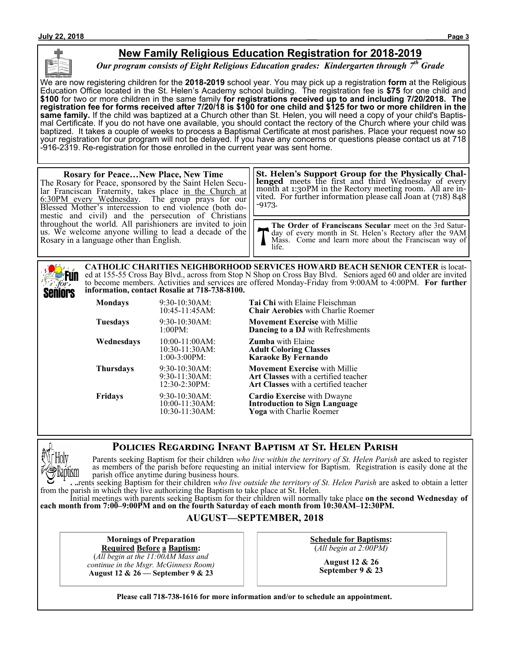# **New Family Religious Education Registration for 2018-2019**

*Our program consists of Eight Religious Education grades: Kindergarten through 7th Grade*

We are now registering children for the **2018-2019** school year. You may pick up a registration **form** at the Religious Education Office located in the St. Helen's Academy school building. The registration fee is **\$75** for one child and **\$100** for two or more children in the same family **for registrations received up to and including 7/20/2018. The registration fee for forms received after 7/20/18 is \$100 for one child and \$125 for two or more children in the same family.** If the child was baptized at a Church other than St. Helen, you will need a copy of your child's Baptismal Certificate. If you do not have one available, you should contact the rectory of the Church where your child was baptized. It takes a couple of weeks to process a Baptismal Certificate at most parishes. Place your request now so your registration for our program will not be delayed. If you have any concerns or questions please contact us at 718 -916-2319. Re-registration for those enrolled in the current year was sent home.

#### **Rosary for Peace…New Place, New Time** The Rosary for Peace, sponsored by the Saint Helen Secular Franciscan Fraternity, takes place in the Church at 6:30PM every Wednesday. The group prays for our Blessed Mother's intercession to end violence (both domestic and civil) and the persecution of Christians throughout the world. All parishioners are invited to join us. We welcome anyone willing to lead a decade of the Rosary in a language other than English. **The Order of Franciscans Secular** meet on the 3rd Saturday of every month in St. Helen's Rectory after the 9AM Mass. Come and learn more about the Franciscan way of life. **St. Helen's Support Group for the Physically Challenged** meets the first and third Wednesday of every month at 1:30PM in the Rectory meeting room. All are invited. For further information please call Joan at (718) 848 -9173.

**CATHOLIC CHARITIES NEIGHBORHOOD SERVICES HOWARD BEACH SENIOR CENTER** is located at 155-55 Cross Bay Blvd., across from Stop N Shop on Cross Bay Blvd. Seniors aged 60 and older are invited :Fun to become members. Activities and services are offered Monday-Friday from 9:00AM to 4:00PM. **For further information, contact Rosalie at 718-738-8100.** Seniors

| Mondays    | 9:30-10:30AM:<br>10:45-11:45AM:                           | <b>Tai Chi</b> with Elaine Fleischman<br><b>Chair Aerobics</b> with Charlie Roemer                                          |
|------------|-----------------------------------------------------------|-----------------------------------------------------------------------------------------------------------------------------|
| Tuesdays   | $9:30-10:30AM$ :<br>1:00PM:                               | <b>Movement Exercise</b> with Millie<br><b>Dancing to a DJ</b> with Refreshments                                            |
| Wednesdays | $10:00-11:00AM$ :<br>$10:30-11:30AM$ :<br>$1:00-3:00PM$ : | <b>Zumba</b> with Elaine<br><b>Adult Coloring Classes</b><br><b>Karaoke By Fernando</b>                                     |
| Thursdays  | 9:30-10:30AM:<br>$9:30-11:30AM$ :<br>12:30-2:30PM:        | <b>Movement Exercise</b> with Millie<br><b>Art Classes</b> with a certified teacher<br>Art Classes with a certified teacher |
| Fridays    | 9:30-10:30AM:<br>10:00-11:30AM:<br>$10:30-11:30AM$ :      | <b>Cardio Exercise</b> with Dwayne<br><b>Introduction to Sign Language</b><br>Yoga with Charlie Roemer                      |

# **Policies Regarding Infant Baptism at St. Helen Parish**



for.

Parents seeking Baptism for their children *who live within the territory of St. Helen Parish* are asked to register as members of the parish before requesting an initial interview for Baptism. Registration is easily done at the parish office anytime during business hours.

Parents seeking Baptism for their children *who live outside the territory of St. Helen Parish* are asked to obtain a letter from the parish in which they live authorizing the Baptism to take place at St. Helen.

Initial meetings with parents seeking Baptism for their children will normally take place **on the second Wednesday of each month from 7:00–9:00PM and on the fourth Saturday of each month from 10:30AM–12:30PM.**

## **AUGUST—SEPTEMBER, 2018**

**Mornings of Preparation Required Before a Baptism:**

(*All begin at the 11:00AM Mass and continue in the Msgr. McGinness Room)* **August 12 & 26 — September 9 & 23**

**Schedule for Baptisms:** (*All begin at 2:00PM)*

> **August 12 & 26 September 9 & 23**

**Please call 718-738-1616 for more information and/or to schedule an appointment.**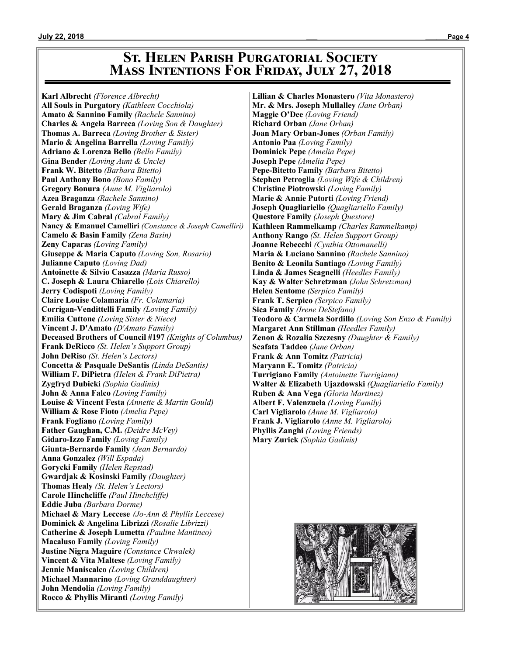# **St. Helen Parish Purgatorial Society Mass Intentions For Friday, July 27, 2018**

**Karl Albrecht** *(Florence Albrecht)* **All Souls in Purgatory** *(Kathleen Cocchiola)* **Amato & Sannino Family** *(Rachele Sannino)* **Charles & Angela Barreca** *(Loving Son & Daughter)* **Thomas A. Barreca** *(Loving Brother & Sister)* **Mario & Angelina Barrella** *(Loving Family)* **Adriano & Lorenza Bello** *(Bello Family)* **Gina Bender** *(Loving Aunt & Uncle)* **Frank W. Bitetto** *(Barbara Bitetto)* **Paul Anthony Bono** *(Bono Family)* **Gregory Bonura** *(Anne M. Vigliarolo)* **Azea Braganza** *(Rachele Sannino)* **Gerald Braganza** *(Loving Wife)* **Mary & Jim Cabral** *(Cabral Family)* **Nancy & Emanuel Camelliri** *(Constance & Joseph Camelliri)* **Camelo & Basin Family** *(Zena Basin)* **Zeny Caparas** *(Loving Family)* **Giuseppe & Maria Caputo** *(Loving Son, Rosario)* **Julianne Caputo** *(Loving Dad)* **Antoinette & Silvio Casazza** *(Maria Russo)* **C. Joseph & Laura Chiarello** *(Lois Chiarello)* **Jerry Codispoti** *(Loving Family)* **Claire Louise Colamaria** *(Fr. Colamaria)* **Corrigan-Vendittelli Family** *(Loving Family)* **Emilia Cuttone** *(Loving Sister & Niece)* **Vincent J. D'Amato** *(D'Amato Family)* **Deceased Brothers of Council #197** *(Knights of Columbus)* **Frank DeRicco** *(St. Helen's Support Group)* **John DeRiso** *(St. Helen's Lectors)* **Concetta & Pasquale DeSantis** *(Linda DeSantis)* **William F. DiPietra** *(Helen & Frank DiPietra)* **Zygfryd Dubicki** *(Sophia Gadinis)* **John & Anna Falco** *(Loving Family)* **Louise & Vincent Festa** *(Annette & Martin Gould)* **William & Rose Fioto** *(Amelia Pepe)* **Frank Fogliano** *(Loving Family)* **Father Gaughan, C.M.** *(Deidre McVey)* **Gidaro-Izzo Family** *(Loving Family)* **Giunta-Bernardo Family** *(Jean Bernardo)* **Anna Gonzalez** *(Will Espada)* **Gorycki Family** *(Helen Repstad)* **Gwardjak & Kosinski Family** *(Daughter)* **Thomas Healy** *(St. Helen's Lectors)* **Carole Hinchcliffe** *(Paul Hinchcliffe)* **Eddie Juba** *(Barbara Dorme)* **Michael & Mary Leccese** *(Jo-Ann & Phyllis Leccese)* **Dominick & Angelina Librizzi** *(Rosalie Librizzi)* **Catherine & Joseph Lumetta** *(Pauline Mantineo)* **Macaluso Family** *(Loving Family)* **Justine Nigra Maguire** *(Constance Chwalek)* **Vincent & Vita Maltese** *(Loving Family)* **Jennie Maniscalco** *(Loving Children)* **Michael Mannarino** *(Loving Granddaughter)* **John Mendolia** *(Loving Family)* **Rocco & Phyllis Miranti** *(Loving Family)*

**Lillian & Charles Monastero** *(Vita Monastero)* **Mr. & Mrs. Joseph Mullalley** *(Jane Orban)* **Maggie O'Dee** *(Loving Friend)* **Richard Orban** *(Jane Orban)* **Joan Mary Orban-Jones** *(Orban Family)* **Antonio Paa** *(Loving Family)* **Dominick Pepe** *(Amelia Pepe)* **Joseph Pepe** *(Amelia Pepe)* **Pepe-Bitetto Family** *(Barbara Bitetto)* **Stephen Petroglia** *(Loving Wife & Children)* **Christine Piotrowski** *(Loving Family)* **Marie & Annie Putorti** *(Loving Friend)* **Joseph Quagliariello** *(Quagliariello Family)* **Questore Family** *(Joseph Questore)* **Kathleen Rammelkamp** *(Charles Rammelkamp)* **Anthony Rango** *(St. Helen Support Group)* **Joanne Rebecchi** *(Cynthia Ottomanelli)* **Maria & Luciano Sannino** *(Rachele Sannino)* **Benito & Leonila Santiago** *(Loving Family)* **Linda & James Scagnelli** *(Heedles Family)* **Kay & Walter Schretzman** *(John Schretzman)* **Helen Sentome** *(Serpico Family)* **Frank T. Serpico** *(Serpico Family)* **Sica Family** *(Irene DeStefano)* **Teodoro & Carmela Sordillo** *(Loving Son Enzo & Family)* **Margaret Ann Stillman** *(Heedles Family)* **Zenon & Rozalia Szczesny** *(Daughter & Family)* **Scafata Taddeo** *(Jane Orban)* **Frank & Ann Tomitz** *(Patricia)* **Maryann E. Tomitz** *(Patricia)* **Turrigiano Family** *(Antoinette Turrigiano)* **Walter & Elizabeth Ujazdowski** *(Quagliariello Family)* **Ruben & Ana Vega** *(Gloria Martinez)* **Albert F. Valenzuela** *(Loving Family)* **Carl Vigliarolo** *(Anne M. Vigliarolo)* **Frank J. Vigliarolo** *(Anne M. Vigliarolo)* **Phyllis Zanghi** *(Loving Friends)* **Mary Zurick** *(Sophia Gadinis)*